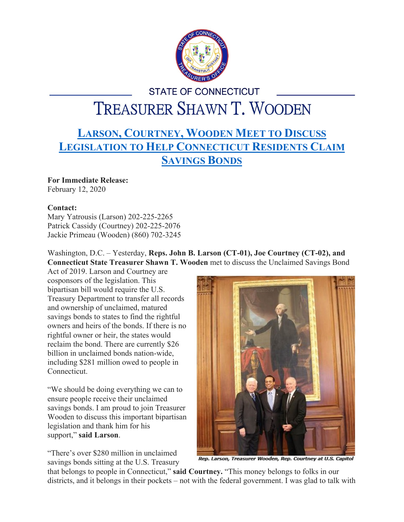

## **STATE OF CONNECTICUT** TREASURER SHAWN T. WOODEN

## **LARSON, C[OURTNEY](https://larson.house.gov/media-center/press-releases/larson-courtney-wooden-meet-discuss-legislation-help-connecticut), WOODEN MEET TO DISCUSS L[EGISLATION TO](https://larson.house.gov/media-center/press-releases/larson-courtney-wooden-meet-discuss-legislation-help-connecticut) HELP CONNECTICUT RESIDENTS CLAIM S[AVINGS](https://larson.house.gov/media-center/press-releases/larson-courtney-wooden-meet-discuss-legislation-help-connecticut) BONDS**

## **For Immediate Release:**

February 12, 2020

## **Contact:**

Mary Yatrousis (Larson) 202-225-2265 Patrick Cassidy (Courtney) 202-225-2076 Jackie Primeau (Wooden) (860) 702-3245

Washington, D.C. – Yesterday, **Reps. John B. Larson (CT-01), Joe Courtney (CT-02), and Connecticut State Treasurer Shawn T. Wooden** met to discuss the Unclaimed Savings Bond

Act of 2019. Larson and Courtney are cosponsors of the legislation. This bipartisan bill would require the U.S. Treasury Department to transfer all records and ownership of unclaimed, matured savings bonds to states to find the rightful owners and heirs of the bonds. If there is no rightful owner or heir, the states would reclaim the bond. There are currently \$26 billion in unclaimed bonds nation-wide, including \$281 million owed to people in Connecticut.

"We should be doing everything we can to ensure people receive their unclaimed savings bonds. I am proud to join Treasurer Wooden to discuss this important bipartisan legislation and thank him for his support," **said Larson**.

"There's over \$280 million in unclaimed savings bonds sitting at the U.S. Treasury



Rep. Larson, Treasurer Wooden, Rep. Courtney at U.S. Capitol

that belongs to people in Connecticut," **said Courtney.** "This money belongs to folks in our districts, and it belongs in their pockets – not with the federal government. I was glad to talk with